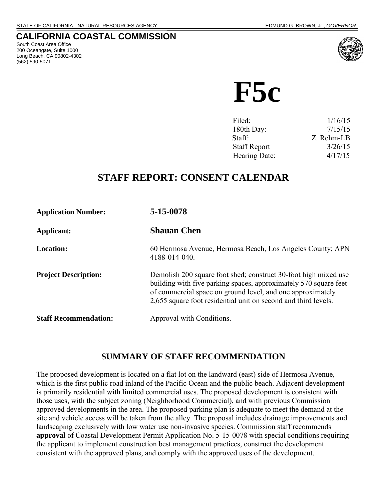#### **CALIFORNIA COASTAL COMMISSION**

 South Coast Area Office 200 Oceangate, Suite 1000 Long Beach, CA 90802-4302 (562) 590-5071



 **F5c**

| Filed:              | 1/16/15    |
|---------------------|------------|
| 180th Day:          | 7/15/15    |
| Staff:              | Z. Rehm-LB |
| <b>Staff Report</b> | 3/26/15    |
| Hearing Date:       | 4/17/15    |
|                     |            |

# **STAFF REPORT: CONSENT CALENDAR**

| <b>Application Number:</b>   | 5-15-0078                                                                                                                                                                                                                                                           |
|------------------------------|---------------------------------------------------------------------------------------------------------------------------------------------------------------------------------------------------------------------------------------------------------------------|
| Applicant:                   | <b>Shauan Chen</b>                                                                                                                                                                                                                                                  |
| Location:                    | 60 Hermosa Avenue, Hermosa Beach, Los Angeles County; APN<br>4188-014-040.                                                                                                                                                                                          |
| <b>Project Description:</b>  | Demolish 200 square foot shed; construct 30-foot high mixed use<br>building with five parking spaces, approximately 570 square feet<br>of commercial space on ground level, and one approximately<br>2,655 square foot residential unit on second and third levels. |
| <b>Staff Recommendation:</b> | Approval with Conditions.                                                                                                                                                                                                                                           |

## **SUMMARY OF STAFF RECOMMENDATION**

The proposed development is located on a flat lot on the landward (east) side of Hermosa Avenue, which is the first public road inland of the Pacific Ocean and the public beach. Adjacent development is primarily residential with limited commercial uses. The proposed development is consistent with those uses, with the subject zoning (Neighborhood Commercial), and with previous Commission approved developments in the area. The proposed parking plan is adequate to meet the demand at the site and vehicle access will be taken from the alley. The proposal includes drainage improvements and landscaping exclusively with low water use non-invasive species. Commission staff recommends **approval** of Coastal Development Permit Application No. 5-15-0078 with special conditions requiring the applicant to implement construction best management practices, construct the development consistent with the approved plans, and comply with the approved uses of the development.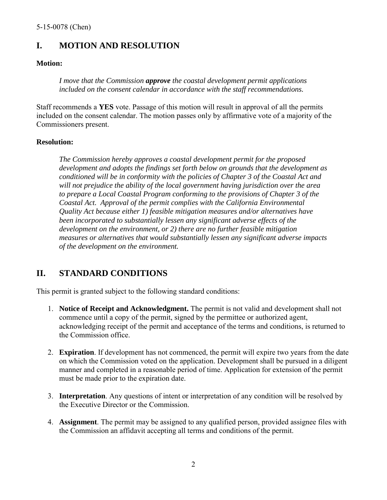## **I. MOTION AND RESOLUTION**

#### **Motion:**

*I move that the Commission approve the coastal development permit applications included on the consent calendar in accordance with the staff recommendations.* 

Staff recommends a **YES** vote. Passage of this motion will result in approval of all the permits included on the consent calendar. The motion passes only by affirmative vote of a majority of the Commissioners present.

#### **Resolution:**

*The Commission hereby approves a coastal development permit for the proposed development and adopts the findings set forth below on grounds that the development as conditioned will be in conformity with the policies of Chapter 3 of the Coastal Act and will not prejudice the ability of the local government having jurisdiction over the area to prepare a Local Coastal Program conforming to the provisions of Chapter 3 of the Coastal Act. Approval of the permit complies with the California Environmental Quality Act because either 1) feasible mitigation measures and/or alternatives have been incorporated to substantially lessen any significant adverse effects of the development on the environment, or 2) there are no further feasible mitigation measures or alternatives that would substantially lessen any significant adverse impacts of the development on the environment.* 

## **II. STANDARD CONDITIONS**

This permit is granted subject to the following standard conditions:

- 1. **Notice of Receipt and Acknowledgment.** The permit is not valid and development shall not commence until a copy of the permit, signed by the permittee or authorized agent, acknowledging receipt of the permit and acceptance of the terms and conditions, is returned to the Commission office.
- 2. **Expiration**. If development has not commenced, the permit will expire two years from the date on which the Commission voted on the application. Development shall be pursued in a diligent manner and completed in a reasonable period of time. Application for extension of the permit must be made prior to the expiration date.
- 3. **Interpretation**. Any questions of intent or interpretation of any condition will be resolved by the Executive Director or the Commission.
- 4. **Assignment**. The permit may be assigned to any qualified person, provided assignee files with the Commission an affidavit accepting all terms and conditions of the permit.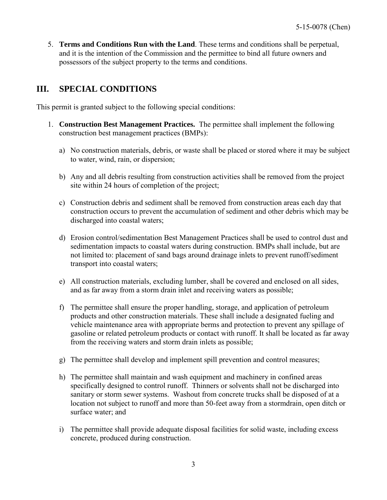5. **Terms and Conditions Run with the Land**. These terms and conditions shall be perpetual, and it is the intention of the Commission and the permittee to bind all future owners and possessors of the subject property to the terms and conditions.

## **III. SPECIAL CONDITIONS**

This permit is granted subject to the following special conditions:

- 1. **Construction Best Management Practices.** The permittee shall implement the following construction best management practices (BMPs):
	- a) No construction materials, debris, or waste shall be placed or stored where it may be subject to water, wind, rain, or dispersion;
	- b) Any and all debris resulting from construction activities shall be removed from the project site within 24 hours of completion of the project;
	- c) Construction debris and sediment shall be removed from construction areas each day that construction occurs to prevent the accumulation of sediment and other debris which may be discharged into coastal waters;
	- d) Erosion control/sedimentation Best Management Practices shall be used to control dust and sedimentation impacts to coastal waters during construction. BMPs shall include, but are not limited to: placement of sand bags around drainage inlets to prevent runoff/sediment transport into coastal waters;
	- e) All construction materials, excluding lumber, shall be covered and enclosed on all sides, and as far away from a storm drain inlet and receiving waters as possible;
	- f) The permittee shall ensure the proper handling, storage, and application of petroleum products and other construction materials. These shall include a designated fueling and vehicle maintenance area with appropriate berms and protection to prevent any spillage of gasoline or related petroleum products or contact with runoff. It shall be located as far away from the receiving waters and storm drain inlets as possible;
	- g) The permittee shall develop and implement spill prevention and control measures;
	- h) The permittee shall maintain and wash equipment and machinery in confined areas specifically designed to control runoff. Thinners or solvents shall not be discharged into sanitary or storm sewer systems. Washout from concrete trucks shall be disposed of at a location not subject to runoff and more than 50-feet away from a stormdrain, open ditch or surface water; and
	- i) The permittee shall provide adequate disposal facilities for solid waste, including excess concrete, produced during construction.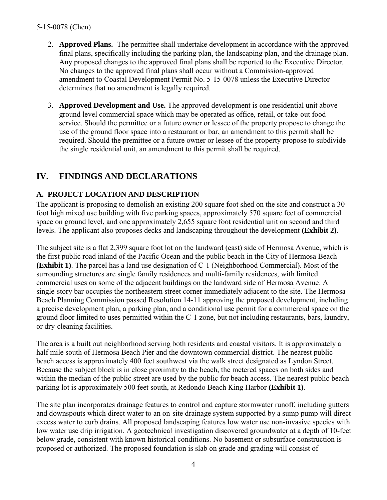- 2. **Approved Plans.** The permittee shall undertake development in accordance with the approved final plans, specifically including the parking plan, the landscaping plan, and the drainage plan. Any proposed changes to the approved final plans shall be reported to the Executive Director. No changes to the approved final plans shall occur without a Commission-approved amendment to Coastal Development Permit No. 5-15-0078 unless the Executive Director determines that no amendment is legally required.
- 3. **Approved Development and Use.** The approved development is one residential unit above ground level commercial space which may be operated as office, retail, or take-out food service. Should the permittee or a future owner or lessee of the property propose to change the use of the ground floor space into a restaurant or bar, an amendment to this permit shall be required. Should the premittee or a future owner or lessee of the property propose to subdivide the single residential unit, an amendment to this permit shall be required.

## **IV. FINDINGS AND DECLARATIONS**

#### **A. PROJECT LOCATION AND DESCRIPTION**

The applicant is proposing to demolish an existing 200 square foot shed on the site and construct a 30 foot high mixed use building with five parking spaces, approximately 570 square feet of commercial space on ground level, and one approximately 2,655 square foot residential unit on second and third levels. The applicant also proposes decks and landscaping throughout the development **(Exhibit 2)**.

The subject site is a flat 2,399 square foot lot on the landward (east) side of Hermosa Avenue, which is the first public road inland of the Pacific Ocean and the public beach in the City of Hermosa Beach **(Exhibit 1)**. The parcel has a land use designation of C-1 (Neighborhood Commercial). Most of the surrounding structures are single family residences and multi-family residences, with limited commercial uses on some of the adjacent buildings on the landward side of Hermosa Avenue. A single-story bar occupies the northeastern street corner immediately adjacent to the site. The Hermosa Beach Planning Commission passed Resolution 14-11 approving the proposed development, including a precise development plan, a parking plan, and a conditional use permit for a commercial space on the ground floor limited to uses permitted within the C-1 zone, but not including restaurants, bars, laundry, or dry-cleaning facilities.

The area is a built out neighborhood serving both residents and coastal visitors. It is approximately a half mile south of Hermosa Beach Pier and the downtown commercial district. The nearest public beach access is approximately 400 feet southwest via the walk street designated as Lyndon Street. Because the subject block is in close proximity to the beach, the metered spaces on both sides and within the median of the public street are used by the public for beach access. The nearest public beach parking lot is approximately 500 feet south, at Redondo Beach King Harbor **(Exhibit 1)**.

The site plan incorporates drainage features to control and capture stormwater runoff, including gutters and downspouts which direct water to an on-site drainage system supported by a sump pump will direct excess water to curb drains. All proposed landscaping features low water use non-invasive species with low water use drip irrigation. A geotechnical investigation discovered groundwater at a depth of 10-feet below grade, consistent with known historical conditions. No basement or subsurface construction is proposed or authorized. The proposed foundation is slab on grade and grading will consist of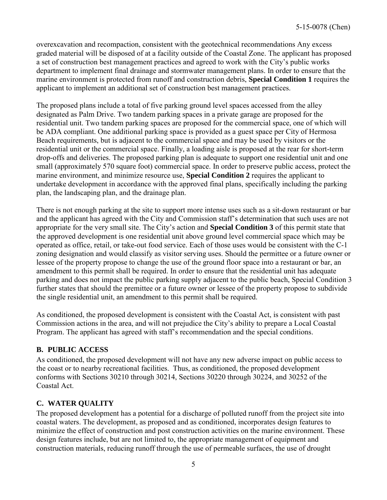overexcavation and recompaction, consistent with the geotechnical recommendations Any excess graded material will be disposed of at a facility outside of the Coastal Zone. The applicant has proposed a set of construction best management practices and agreed to work with the City's public works department to implement final drainage and stormwater management plans. In order to ensure that the marine environment is protected from runoff and construction debris, **Special Condition 1** requires the applicant to implement an additional set of construction best management practices.

The proposed plans include a total of five parking ground level spaces accessed from the alley designated as Palm Drive. Two tandem parking spaces in a private garage are proposed for the residential unit. Two tandem parking spaces are proposed for the commercial space, one of which will be ADA compliant. One additional parking space is provided as a guest space per City of Hermosa Beach requirements, but is adjacent to the commercial space and may be used by visitors or the residential unit or the commercial space. Finally, a loading aisle is proposed at the rear for short-term drop-offs and deliveries. The proposed parking plan is adequate to support one residential unit and one small (approximately 570 square foot) commercial space. In order to preserve public access, protect the marine environment, and minimize resource use, **Special Condition 2** requires the applicant to undertake development in accordance with the approved final plans, specifically including the parking plan, the landscaping plan, and the drainage plan.

There is not enough parking at the site to support more intense uses such as a sit-down restaurant or bar and the applicant has agreed with the City and Commission staff's determination that such uses are not appropriate for the very small site. The City's action and **Special Condition 3** of this permit state that the approved development is one residential unit above ground level commercial space which may be operated as office, retail, or take-out food service. Each of those uses would be consistent with the C-1 zoning designation and would classify as visitor serving uses. Should the permittee or a future owner or lessee of the property propose to change the use of the ground floor space into a restaurant or bar, an amendment to this permit shall be required. In order to ensure that the residential unit has adequate parking and does not impact the public parking supply adjacent to the public beach, Special Condition 3 further states that should the premittee or a future owner or lessee of the property propose to subdivide the single residential unit, an amendment to this permit shall be required.

As conditioned, the proposed development is consistent with the Coastal Act, is consistent with past Commission actions in the area, and will not prejudice the City's ability to prepare a Local Coastal Program. The applicant has agreed with staff's recommendation and the special conditions.

#### **B. PUBLIC ACCESS**

As conditioned, the proposed development will not have any new adverse impact on public access to the coast or to nearby recreational facilities. Thus, as conditioned, the proposed development conforms with Sections 30210 through 30214, Sections 30220 through 30224, and 30252 of the Coastal Act.

#### **C. WATER QUALITY**

The proposed development has a potential for a discharge of polluted runoff from the project site into coastal waters. The development, as proposed and as conditioned, incorporates design features to minimize the effect of construction and post construction activities on the marine environment. These design features include, but are not limited to, the appropriate management of equipment and construction materials, reducing runoff through the use of permeable surfaces, the use of drought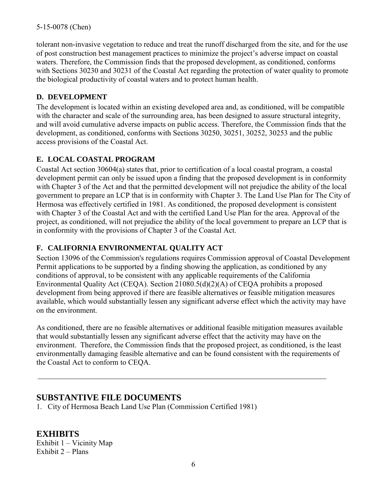tolerant non-invasive vegetation to reduce and treat the runoff discharged from the site, and for the use of post construction best management practices to minimize the project's adverse impact on coastal waters. Therefore, the Commission finds that the proposed development, as conditioned, conforms with Sections 30230 and 30231 of the Coastal Act regarding the protection of water quality to promote the biological productivity of coastal waters and to protect human health.

#### **D. DEVELOPMENT**

The development is located within an existing developed area and, as conditioned, will be compatible with the character and scale of the surrounding area, has been designed to assure structural integrity, and will avoid cumulative adverse impacts on public access. Therefore, the Commission finds that the development, as conditioned, conforms with Sections 30250, 30251, 30252, 30253 and the public access provisions of the Coastal Act.

#### **E. LOCAL COASTAL PROGRAM**

Coastal Act section 30604(a) states that, prior to certification of a local coastal program, a coastal development permit can only be issued upon a finding that the proposed development is in conformity with Chapter 3 of the Act and that the permitted development will not prejudice the ability of the local government to prepare an LCP that is in conformity with Chapter 3. The Land Use Plan for The City of Hermosa was effectively certified in 1981. As conditioned, the proposed development is consistent with Chapter 3 of the Coastal Act and with the certified Land Use Plan for the area. Approval of the project, as conditioned, will not prejudice the ability of the local government to prepare an LCP that is in conformity with the provisions of Chapter 3 of the Coastal Act.

#### **F. CALIFORNIA ENVIRONMENTAL QUALITY ACT**

Section 13096 of the Commission's regulations requires Commission approval of Coastal Development Permit applications to be supported by a finding showing the application, as conditioned by any conditions of approval, to be consistent with any applicable requirements of the California Environmental Quality Act (CEQA). Section 21080.5(d)(2)(A) of CEQA prohibits a proposed development from being approved if there are feasible alternatives or feasible mitigation measures available, which would substantially lessen any significant adverse effect which the activity may have on the environment.

As conditioned, there are no feasible alternatives or additional feasible mitigation measures available that would substantially lessen any significant adverse effect that the activity may have on the environment. Therefore, the Commission finds that the proposed project, as conditioned, is the least environmentally damaging feasible alternative and can be found consistent with the requirements of the Coastal Act to conform to CEQA.

## **SUBSTANTIVE FILE DOCUMENTS**

1. City of Hermosa Beach Land Use Plan (Commission Certified 1981)

**EXHIBITS** Exhibit 1 – Vicinity Map Exhibit 2 – Plans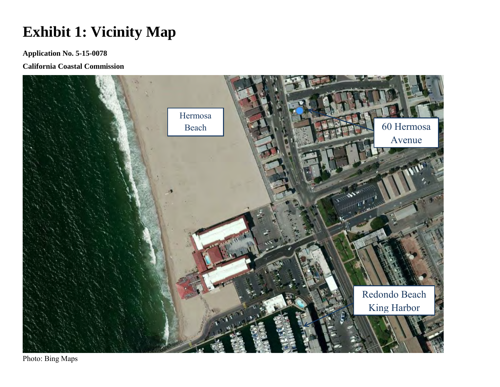# **Exhibit 1: Vicinity Map**

**Application No. 5-15-0078**

**California Coastal Commission** 



Photo: Bing Maps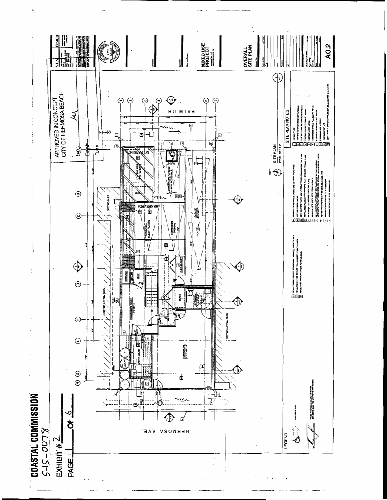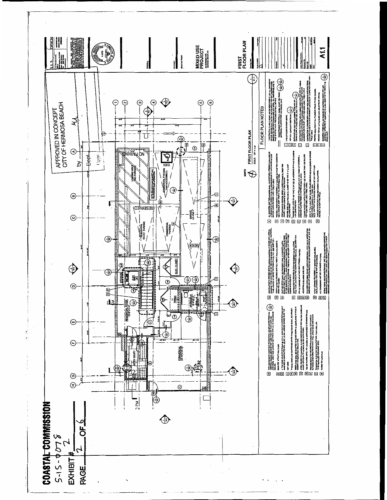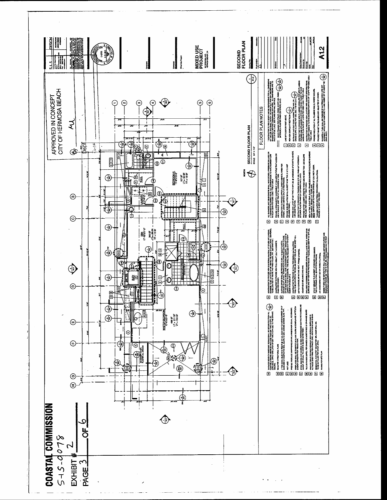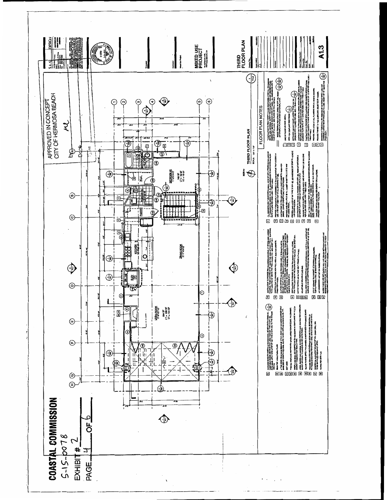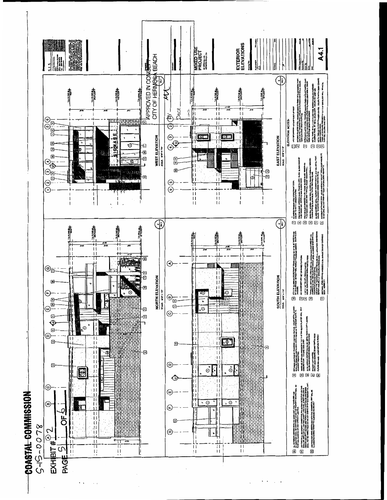